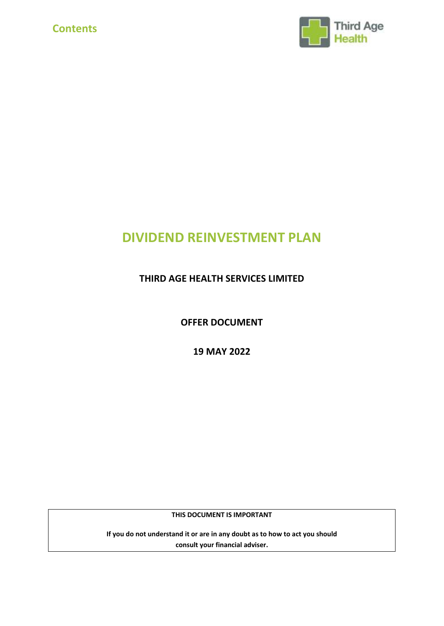



# **DIVIDEND REINVESTMENT PLAN**

# **THIRD AGE HEALTH SERVICES LIMITED**

**OFFER DOCUMENT**

**19 MAY 2022**

**THIS DOCUMENT IS IMPORTANT**

**If you do not understand it or are in any doubt as to how to act you should consult your financial adviser.**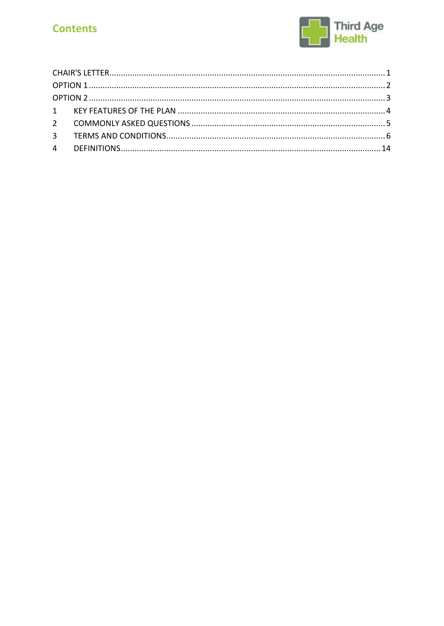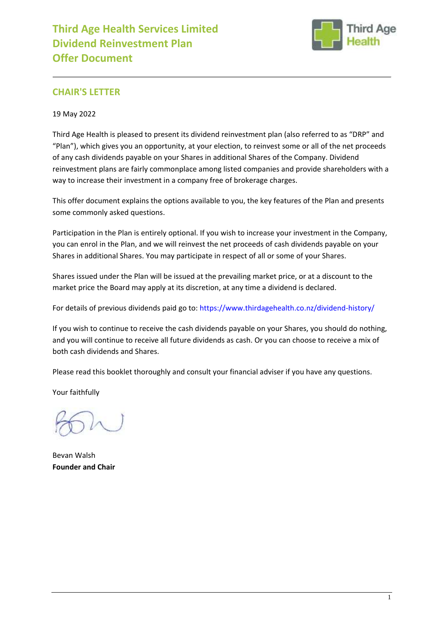

# <span id="page-2-0"></span>**CHAIR'S LETTER**

#### 19 May 2022

Third Age Health is pleased to present its dividend reinvestment plan (also referred to as "DRP" and "Plan"), which gives you an opportunity, at your election, to reinvest some or all of the net proceeds of any cash dividends payable on your Shares in additional Shares of the Company. Dividend reinvestment plans are fairly commonplace among listed companies and provide shareholders with a way to increase their investment in a company free of brokerage charges.

This offer document explains the options available to you, the key features of the Plan and presents some commonly asked questions.

Participation in the Plan is entirely optional. If you wish to increase your investment in the Company, you can enrol in the Plan, and we will reinvest the net proceeds of cash dividends payable on your Shares in additional Shares. You may participate in respect of all or some of your Shares.

Shares issued under the Plan will be issued at the prevailing market price, or at a discount to the market price the Board may apply at its discretion, at any time a dividend is declared.

For details of previous dividends paid go to:<https://www.thirdagehealth.co.nz/dividend-history/>

If you wish to continue to receive the cash dividends payable on your Shares, you should do nothing, and you will continue to receive all future dividends as cash. Or you can choose to receive a mix of both cash dividends and Shares.

Please read this booklet thoroughly and consult your financial adviser if you have any questions.

Your faithfully

Bevan Walsh **Founder and Chair**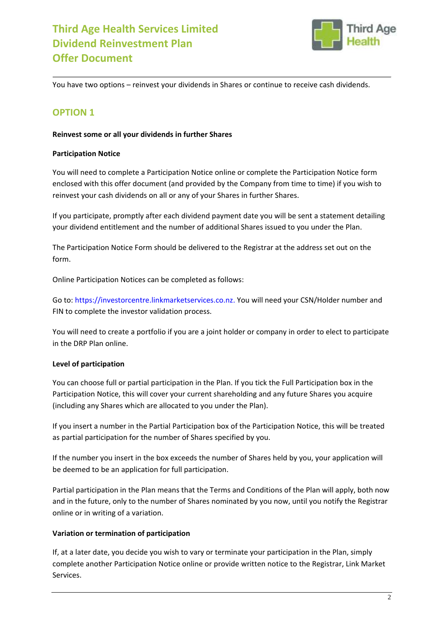

You have two options – reinvest your dividends in Shares or continue to receive cash dividends.

# <span id="page-3-0"></span>**OPTION 1**

#### **Reinvest some or all your dividends in further Shares**

#### **Participation Notice**

You will need to complete a Participation Notice online or complete the Participation Notice form enclosed with this offer document (and provided by the Company from time to time) if you wish to reinvest your cash dividends on all or any of your Shares in further Shares.

If you participate, promptly after each dividend payment date you will be sent a statement detailing your dividend entitlement and the number of additional Shares issued to you under the Plan.

The Participation Notice Form should be delivered to the Registrar at the address set out on the form.

Online Participation Notices can be completed as follows:

Go to[: https://investorcentre.linkmarketservices.co.nz.](https://investorcentre.linkmarketservices.co.nz/) You will need your CSN/Holder number and FIN to complete the investor validation process.

You will need to create a portfolio if you are a joint holder or company in order to elect to participate in the DRP Plan online.

#### **Level of participation**

You can choose full or partial participation in the Plan. If you tick the Full Participation box in the Participation Notice, this will cover your current shareholding and any future Shares you acquire (including any Shares which are allocated to you under the Plan).

If you insert a number in the Partial Participation box of the Participation Notice, this will be treated as partial participation for the number of Shares specified by you.

If the number you insert in the box exceeds the number of Shares held by you, your application will be deemed to be an application for full participation.

Partial participation in the Plan means that the Terms and Conditions of the Plan will apply, both now and in the future, only to the number of Shares nominated by you now, until you notify the Registrar online or in writing of a variation.

#### **Variation or termination of participation**

If, at a later date, you decide you wish to vary or terminate your participation in the Plan, simply complete another Participation Notice online or provide written notice to the Registrar, Link Market Services.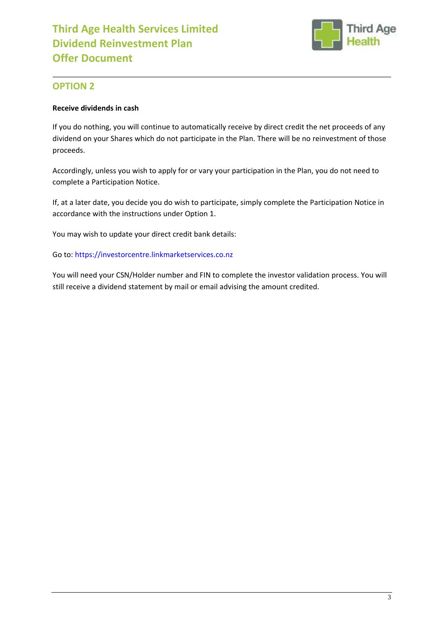

# <span id="page-4-0"></span>**OPTION 2**

## **Receive dividends in cash**

If you do nothing, you will continue to automatically receive by direct credit the net proceeds of any dividend on your Shares which do not participate in the Plan. There will be no reinvestment of those proceeds.

Accordingly, unless you wish to apply for or vary your participation in the Plan, you do not need to complete a Participation Notice.

If, at a later date, you decide you do wish to participate, simply complete the Participation Notice in accordance with the instructions under Option 1.

You may wish to update your direct credit bank details:

Go to[: https://investorcentre.linkmarketservices.co.nz](https://investorcentre.linkmarketservices.co.nz/)

You will need your CSN/Holder number and FIN to complete the investor validation process. You will still receive a dividend statement by mail or email advising the amount credited.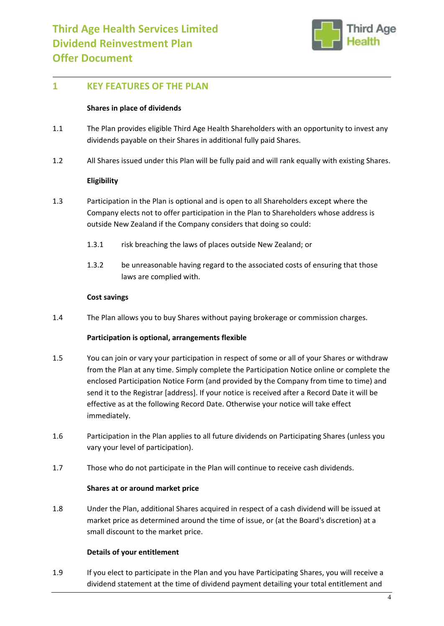

# <span id="page-5-0"></span>**1 KEY FEATURES OF THE PLAN**

#### **Shares in place of dividends**

- 1.1 The Plan provides eligible Third Age Health Shareholders with an opportunity to invest any dividends payable on their Shares in additional fully paid Shares.
- 1.2 All Shares issued under this Plan will be fully paid and will rank equally with existing Shares.

## **Eligibility**

- 1.3 Participation in the Plan is optional and is open to all Shareholders except where the Company elects not to offer participation in the Plan to Shareholders whose address is outside New Zealand if the Company considers that doing so could:
	- 1.3.1 risk breaching the laws of places outside New Zealand; or
	- 1.3.2 be unreasonable having regard to the associated costs of ensuring that those laws are complied with.

#### **Cost savings**

1.4 The Plan allows you to buy Shares without paying brokerage or commission charges.

#### **Participation is optional, arrangements flexible**

- 1.5 You can join or vary your participation in respect of some or all of your Shares or withdraw from the Plan at any time. Simply complete the Participation Notice online or complete the enclosed Participation Notice Form (and provided by the Company from time to time) and send it to the Registrar [address]. If your notice is received after a Record Date it will be effective as at the following Record Date. Otherwise your notice will take effect immediately.
- 1.6 Participation in the Plan applies to all future dividends on Participating Shares (unless you vary your level of participation).
- 1.7 Those who do not participate in the Plan will continue to receive cash dividends.

#### **Shares at or around market price**

1.8 Under the Plan, additional Shares acquired in respect of a cash dividend will be issued at market price as determined around the time of issue, or (at the Board's discretion) at a small discount to the market price.

# **Details of your entitlement**

1.9 If you elect to participate in the Plan and you have Participating Shares, you will receive a dividend statement at the time of dividend payment detailing your total entitlement and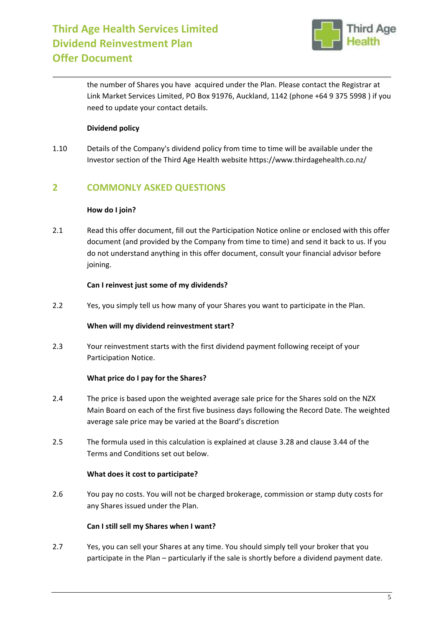

the number of Shares you have acquired under the Plan. Please contact the Registrar at Link Market Services Limited, PO Box 91976, Auckland, 1142 (phone +64 9 375 5998 ) if you need to update your contact details.

# **Dividend policy**

1.10 Details of the Company's dividend policy from time to time will be available under the Investor section of the Third Age Health website https://www.thirdagehealth.co.nz/

# <span id="page-6-0"></span>**2 COMMONLY ASKED QUESTIONS**

## **How do I join?**

2.1 Read this offer document, fill out the Participation Notice online or enclosed with this offer document (and provided by the Company from time to time) and send it back to us. If you do not understand anything in this offer document, consult your financial advisor before joining.

## **Can I reinvest just some of my dividends?**

2.2 Yes, you simply tell us how many of your Shares you want to participate in the Plan.

#### **When will my dividend reinvestment start?**

2.3 Your reinvestment starts with the first dividend payment following receipt of your Participation Notice.

#### **What price do I pay for the Shares?**

- 2.4 The price is based upon the weighted average sale price for the Shares sold on the NZX Main Board on each of the first five business days following the Record Date. The weighted average sale price may be varied at the Board's discretion
- 2.5 The formula used in this calculation is explained at clause [3.28](#page-9-0) and clause [3.44](#page-12-0) of the Terms and Conditions set out below.

#### **What does it cost to participate?**

2.6 You pay no costs. You will not be charged brokerage, commission or stamp duty costs for any Shares issued under the Plan.

#### **Can I still sell my Shares when I want?**

2.7 Yes, you can sell your Shares at any time. You should simply tell your broker that you participate in the Plan – particularly if the sale is shortly before a dividend payment date.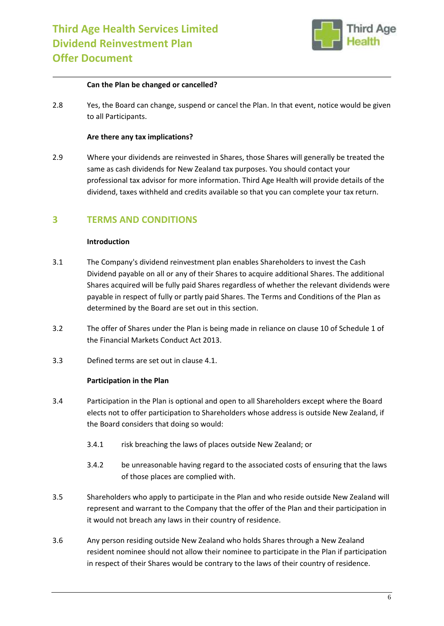

#### **Can the Plan be changed or cancelled?**

2.8 Yes, the Board can change, suspend or cancel the Plan. In that event, notice would be given to all Participants.

#### **Are there any tax implications?**

2.9 Where your dividends are reinvested in Shares, those Shares will generally be treated the same as cash dividends for New Zealand tax purposes. You should contact your professional tax advisor for more information. Third Age Health will provide details of the dividend, taxes withheld and credits available so that you can complete your tax return.

# <span id="page-7-0"></span>**3 TERMS AND CONDITIONS**

#### **Introduction**

- 3.1 The Company's dividend reinvestment plan enables Shareholders to invest the Cash Dividend payable on all or any of their Shares to acquire additional Shares. The additional Shares acquired will be fully paid Shares regardless of whether the relevant dividends were payable in respect of fully or partly paid Shares. The Terms and Conditions of the Plan as determined by the Board are set out in this section.
- 3.2 The offer of Shares under the Plan is being made in reliance on clause 10 of Schedule 1 of the Financial Markets Conduct Act 2013.
- 3.3 Defined terms are set out in clause 4.1.

#### **Participation in the Plan**

- 3.4 Participation in the Plan is optional and open to all Shareholders except where the Board elects not to offer participation to Shareholders whose address is outside New Zealand, if the Board considers that doing so would:
	- 3.4.1 risk breaching the laws of places outside New Zealand; or
	- 3.4.2 be unreasonable having regard to the associated costs of ensuring that the laws of those places are complied with.
- 3.5 Shareholders who apply to participate in the Plan and who reside outside New Zealand will represent and warrant to the Company that the offer of the Plan and their participation in it would not breach any laws in their country of residence.
- 3.6 Any person residing outside New Zealand who holds Shares through a New Zealand resident nominee should not allow their nominee to participate in the Plan if participation in respect of their Shares would be contrary to the laws of their country of residence.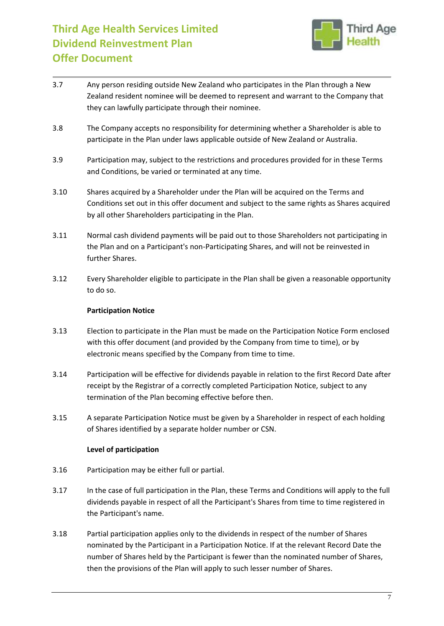

- 3.7 Any person residing outside New Zealand who participates in the Plan through a New Zealand resident nominee will be deemed to represent and warrant to the Company that they can lawfully participate through their nominee.
- 3.8 The Company accepts no responsibility for determining whether a Shareholder is able to participate in the Plan under laws applicable outside of New Zealand or Australia.
- 3.9 Participation may, subject to the restrictions and procedures provided for in these Terms and Conditions, be varied or terminated at any time.
- 3.10 Shares acquired by a Shareholder under the Plan will be acquired on the Terms and Conditions set out in this offer document and subject to the same rights as Shares acquired by all other Shareholders participating in the Plan.
- 3.11 Normal cash dividend payments will be paid out to those Shareholders not participating in the Plan and on a Participant's non-Participating Shares, and will not be reinvested in further Shares.
- 3.12 Every Shareholder eligible to participate in the Plan shall be given a reasonable opportunity to do so.

# **Participation Notice**

- 3.13 Election to participate in the Plan must be made on the Participation Notice Form enclosed with this offer document (and provided by the Company from time to time), or by electronic means specified by the Company from time to time.
- 3.14 Participation will be effective for dividends payable in relation to the first Record Date after receipt by the Registrar of a correctly completed Participation Notice, subject to any termination of the Plan becoming effective before then.
- 3.15 A separate Participation Notice must be given by a Shareholder in respect of each holding of Shares identified by a separate holder number or CSN.

# **Level of participation**

- 3.16 Participation may be either full or partial.
- 3.17 In the case of full participation in the Plan, these Terms and Conditions will apply to the full dividends payable in respect of all the Participant's Shares from time to time registered in the Participant's name.
- 3.18 Partial participation applies only to the dividends in respect of the number of Shares nominated by the Participant in a Participation Notice. If at the relevant Record Date the number of Shares held by the Participant is fewer than the nominated number of Shares, then the provisions of the Plan will apply to such lesser number of Shares.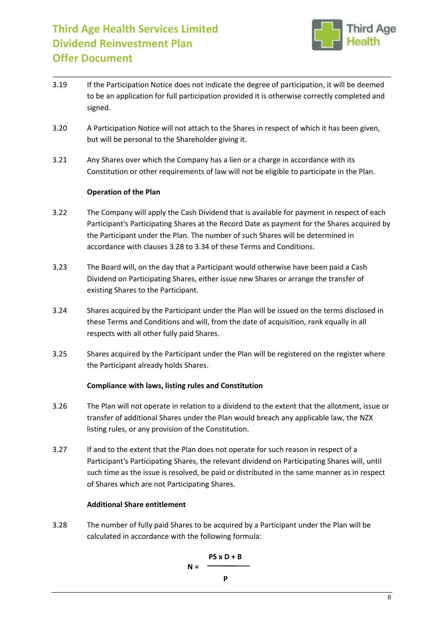

- 3.19 If the Participation Notice does not indicate the degree of participation, it will be deemed to be an application for full participation provided it is otherwise correctly completed and signed.
- 3.20 A Participation Notice will not attach to the Shares in respect of which it has been given, but will be personal to the Shareholder giving it.
- 3.21 Any Shares over which the Company has a lien or a charge in accordance with its Constitution or other requirements of law will not be eligible to participate in the Plan.

# **Operation of the Plan**

- 3.22 The Company will apply the Cash Dividend that is available for payment in respect of each Participant's Participating Shares at the Record Date as payment for the Shares acquired by the Participant under the Plan. The number of such Shares will be determined in accordance with clauses [3.28](#page-9-0) to [3.34](#page-11-0) of these Terms and Conditions.
- 3.23 The Board will, on the day that a Participant would otherwise have been paid a Cash Dividend on Participating Shares, either issue new Shares or arrange the transfer of existing Shares to the Participant.
- 3.24 Shares acquired by the Participant under the Plan will be issued on the terms disclosed in these Terms and Conditions and will, from the date of acquisition, rank equally in all respects with all other fully paid Shares.
- 3.25 Shares acquired by the Participant under the Plan will be registered on the register where the Participant already holds Shares.

# **Compliance with laws, listing rules and Constitution**

- 3.26 The Plan will not operate in relation to a dividend to the extent that the allotment, issue or transfer of additional Shares under the Plan would breach any applicable law, the NZX listing rules, or any provision of the Constitution.
- 3.27 If and to the extent that the Plan does not operate for such reason in respect of a Participant's Participating Shares, the relevant dividend on Participating Shares will, until such time as the issue is resolved, be paid or distributed in the same manner as in respect of Shares which are not Participating Shares.

# **Additional Share entitlement**

<span id="page-9-0"></span>3.28 The number of fully paid Shares to be acquired by a Participant under the Plan will be calculated in accordance with the following formula:

$$
N = \frac{PS \times D + B}{P}
$$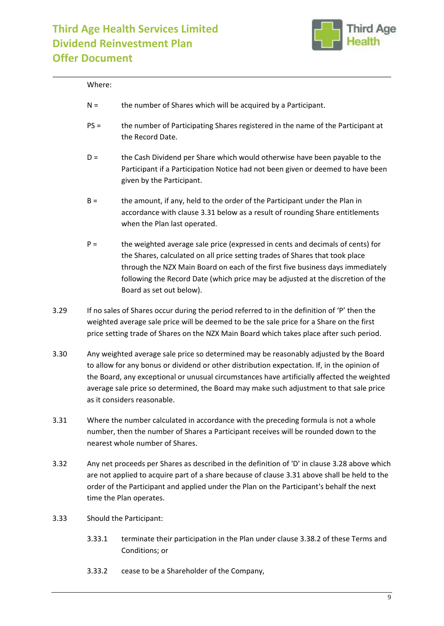

#### Where:

- $N =$  the number of Shares which will be acquired by a Participant.
- PS = the number of Participating Shares registered in the name of the Participant at the Record Date.
- D = the Cash Dividend per Share which would otherwise have been payable to the Participant if a Participation Notice had not been given or deemed to have been given by the Participant.
- B = the amount, if any, held to the order of the Participant under the Plan in accordance with clause [3.31](#page-10-0) below as a result of rounding Share entitlements when the Plan last operated.
- P = the weighted average sale price (expressed in cents and decimals of cents) for the Shares, calculated on all price setting trades of Shares that took place through the NZX Main Board on each of the first five business days immediately following the Record Date (which price may be adjusted at the discretion of the Board as set out below).
- 3.29 If no sales of Shares occur during the period referred to in the definition of 'P' then the weighted average sale price will be deemed to be the sale price for a Share on the first price setting trade of Shares on the NZX Main Board which takes place after such period.
- 3.30 Any weighted average sale price so determined may be reasonably adjusted by the Board to allow for any bonus or dividend or other distribution expectation. If, in the opinion of the Board, any exceptional or unusual circumstances have artificially affected the weighted average sale price so determined, the Board may make such adjustment to that sale price as it considers reasonable.
- <span id="page-10-0"></span>3.31 Where the number calculated in accordance with the preceding formula is not a whole number, then the number of Shares a Participant receives will be rounded down to the nearest whole number of Shares.
- <span id="page-10-1"></span>3.32 Any net proceeds per Shares as described in the definition of 'D' in clause [3.28](#page-9-0) above which are not applied to acquire part of a share because of clause [3.31](#page-10-0) above shall be held to the order of the Participant and applied under the Plan on the Participant's behalf the next time the Plan operates.
- 3.33 Should the Participant:
	- 3.33.1 terminate their participation in the Plan under clause [3.38.2](#page-12-1) of these Terms and Conditions; or
	- 3.33.2 cease to be a Shareholder of the Company,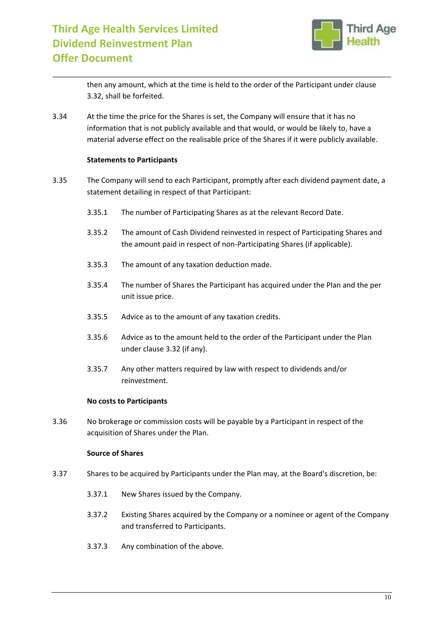

then any amount, which at the time is held to the order of the Participant under clause [3.32,](#page-10-1) shall be forfeited.

<span id="page-11-0"></span>3.34 At the time the price for the Shares is set, the Company will ensure that it has no information that is not publicly available and that would, or would be likely to, have a material adverse effect on the realisable price of the Shares if it were publicly available.

## **Statements to Participants**

- 3.35 The Company will send to each Participant, promptly after each dividend payment date, a statement detailing in respect of that Participant:
	- 3.35.1 The number of Participating Shares as at the relevant Record Date.
	- 3.35.2 The amount of Cash Dividend reinvested in respect of Participating Shares and the amount paid in respect of non-Participating Shares (if applicable).
	- 3.35.3 The amount of any taxation deduction made.
	- 3.35.4 The number of Shares the Participant has acquired under the Plan and the per unit issue price.
	- 3.35.5 Advice as to the amount of any taxation credits.
	- 3.35.6 Advice as to the amount held to the order of the Participant under the Plan under claus[e 3.32](#page-10-1) (if any).
	- 3.35.7 Any other matters required by law with respect to dividends and/or reinvestment.

#### **No costs to Participants**

3.36 No brokerage or commission costs will be payable by a Participant in respect of the acquisition of Shares under the Plan.

#### **Source of Shares**

- 3.37 Shares to be acquired by Participants under the Plan may, at the Board's discretion, be:
	- 3.37.1 New Shares issued by the Company.
	- 3.37.2 Existing Shares acquired by the Company or a nominee or agent of the Company and transferred to Participants.
	- 3.37.3 Any combination of the above.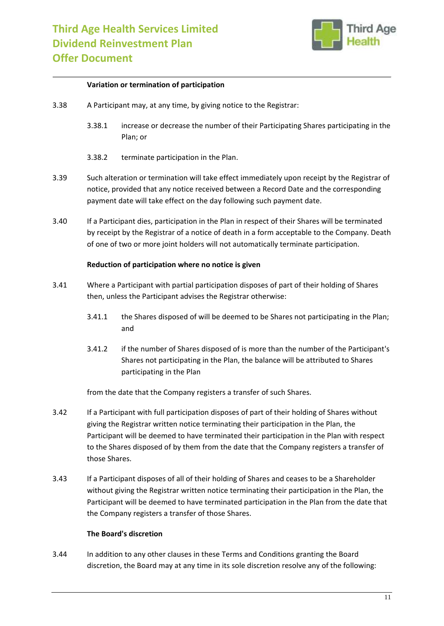

#### **Variation or termination of participation**

- 3.38 A Participant may, at any time, by giving notice to the Registrar:
	- 3.38.1 increase or decrease the number of their Participating Shares participating in the Plan; or
	- 3.38.2 terminate participation in the Plan.
- <span id="page-12-1"></span>3.39 Such alteration or termination will take effect immediately upon receipt by the Registrar of notice, provided that any notice received between a Record Date and the corresponding payment date will take effect on the day following such payment date.
- 3.40 If a Participant dies, participation in the Plan in respect of their Shares will be terminated by receipt by the Registrar of a notice of death in a form acceptable to the Company. Death of one of two or more joint holders will not automatically terminate participation.

#### **Reduction of participation where no notice is given**

- 3.41 Where a Participant with partial participation disposes of part of their holding of Shares then, unless the Participant advises the Registrar otherwise:
	- 3.41.1 the Shares disposed of will be deemed to be Shares not participating in the Plan; and
	- 3.41.2 if the number of Shares disposed of is more than the number of the Participant's Shares not participating in the Plan, the balance will be attributed to Shares participating in the Plan

from the date that the Company registers a transfer of such Shares.

- 3.42 If a Participant with full participation disposes of part of their holding of Shares without giving the Registrar written notice terminating their participation in the Plan, the Participant will be deemed to have terminated their participation in the Plan with respect to the Shares disposed of by them from the date that the Company registers a transfer of those Shares.
- 3.43 If a Participant disposes of all of their holding of Shares and ceases to be a Shareholder without giving the Registrar written notice terminating their participation in the Plan, the Participant will be deemed to have terminated participation in the Plan from the date that the Company registers a transfer of those Shares.

#### **The Board's discretion**

<span id="page-12-0"></span>3.44 In addition to any other clauses in these Terms and Conditions granting the Board discretion, the Board may at any time in its sole discretion resolve any of the following: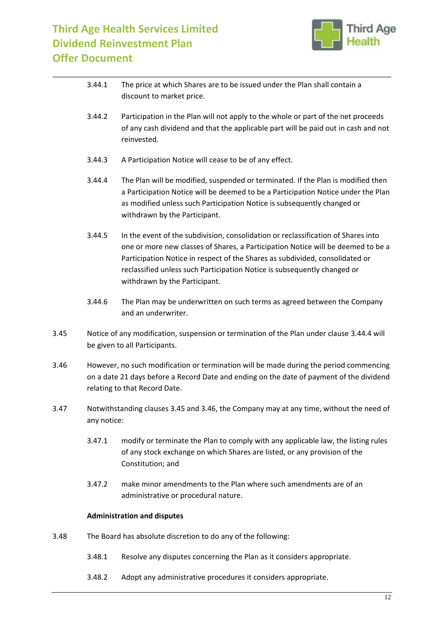

- 3.44.1 The price at which Shares are to be issued under the Plan shall contain a discount to market price.
- 3.44.2 Participation in the Plan will not apply to the whole or part of the net proceeds of any cash dividend and that the applicable part will be paid out in cash and not reinvested.
- 3.44.3 A Participation Notice will cease to be of any effect.
- <span id="page-13-0"></span>3.44.4 The Plan will be modified, suspended or terminated. If the Plan is modified then a Participation Notice will be deemed to be a Participation Notice under the Plan as modified unless such Participation Notice is subsequently changed or withdrawn by the Participant.
- 3.44.5 In the event of the subdivision, consolidation or reclassification of Shares into one or more new classes of Shares, a Participation Notice will be deemed to be a Participation Notice in respect of the Shares as subdivided, consolidated or reclassified unless such Participation Notice is subsequently changed or withdrawn by the Participant.
- 3.44.6 The Plan may be underwritten on such terms as agreed between the Company and an underwriter.
- <span id="page-13-1"></span>3.45 Notice of any modification, suspension or termination of the Plan under clause [3.44.4](#page-13-0) will be given to all Participants.
- <span id="page-13-2"></span>3.46 However, no such modification or termination will be made during the period commencing on a date 21 days before a Record Date and ending on the date of payment of the dividend relating to that Record Date.
- 3.47 Notwithstanding clauses [3.45](#page-13-1) and [3.46,](#page-13-2) the Company may at any time, without the need of any notice:
	- 3.47.1 modify or terminate the Plan to comply with any applicable law, the listing rules of any stock exchange on which Shares are listed, or any provision of the Constitution; and
	- 3.47.2 make minor amendments to the Plan where such amendments are of an administrative or procedural nature.

#### **Administration and disputes**

- 3.48 The Board has absolute discretion to do any of the following:
	- 3.48.1 Resolve any disputes concerning the Plan as it considers appropriate.
	- 3.48.2 Adopt any administrative procedures it considers appropriate.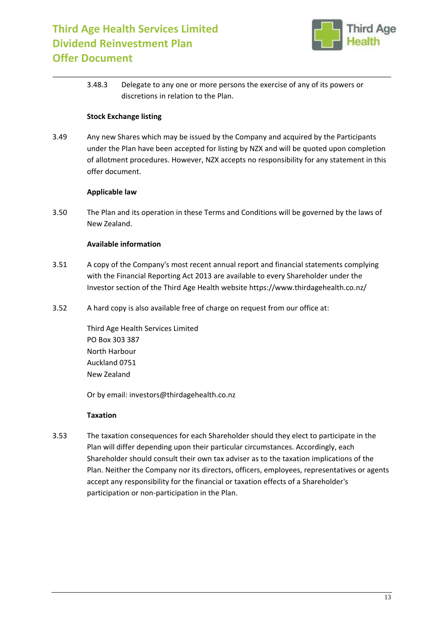

3.48.3 Delegate to any one or more persons the exercise of any of its powers or discretions in relation to the Plan.

## **Stock Exchange listing**

3.49 Any new Shares which may be issued by the Company and acquired by the Participants under the Plan have been accepted for listing by NZX and will be quoted upon completion of allotment procedures. However, NZX accepts no responsibility for any statement in this offer document.

## **Applicable law**

3.50 The Plan and its operation in these Terms and Conditions will be governed by the laws of New Zealand.

## **Available information**

- 3.51 A copy of the Company's most recent annual report and financial statements complying with the Financial Reporting Act 2013 are available to every Shareholder under the Investor section of the Third Age Health website https://www.thirdagehealth.co.nz/
- 3.52 A hard copy is also available free of charge on request from our office at:

Third Age Health Services Limited PO Box 303 387 North Harbour Auckland 0751 New Zealand

Or by email: investors@thirdagehealth.co.nz

#### **Taxation**

3.53 The taxation consequences for each Shareholder should they elect to participate in the Plan will differ depending upon their particular circumstances. Accordingly, each Shareholder should consult their own tax adviser as to the taxation implications of the Plan. Neither the Company nor its directors, officers, employees, representatives or agents accept any responsibility for the financial or taxation effects of a Shareholder's participation or non-participation in the Plan.